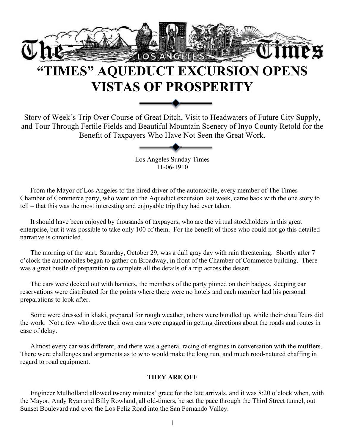

# **"TIMES" AQUEDUCT EXCURSION OPENS VISTAS OF PROSPERITY**

Story of Week's Trip Over Course of Great Ditch, Visit to Headwaters of Future City Supply, and Tour Through Fertile Fields and Beautiful Mountain Scenery of Inyo County Retold for the Benefit of Taxpayers Who Have Not Seen the Great Work.

Los Angeles Sunday Times 11-06-1910

From the Mayor of Los Angeles to the hired driver of the automobile, every member of The Times – Chamber of Commerce party, who went on the Aqueduct excursion last week, came back with the one story to tell – that this was the most interesting and enjoyable trip they had ever taken.

It should have been enjoyed by thousands of taxpayers, who are the virtual stockholders in this great enterprise, but it was possible to take only 100 of them. For the benefit of those who could not go this detailed narrative is chronicled.

The morning of the start, Saturday, October 29, was a dull gray day with rain threatening. Shortly after 7 o'clock the automobiles began to gather on Broadway, in front of the Chamber of Commerce building. There was a great bustle of preparation to complete all the details of a trip across the desert.

The cars were decked out with banners, the members of the party pinned on their badges, sleeping car reservations were distributed for the points where there were no hotels and each member had his personal preparations to look after.

Some were dressed in khaki, prepared for rough weather, others were bundled up, while their chauffeurs did the work. Not a few who drove their own cars were engaged in getting directions about the roads and routes in case of delay.

Almost every car was different, and there was a general racing of engines in conversation with the mufflers. There were challenges and arguments as to who would make the long run, and much rood-natured chaffing in regard to road equipment.

## **THEY ARE OFF**

Engineer Mulholland allowed twenty minutes' grace for the late arrivals, and it was 8:20 o'clock when, with the Mayor, Andy Ryan and Billy Rowland, all old-timers, he set the pace through the Third Street tunnel, out Sunset Boulevard and over the Los Feliz Road into the San Fernando Valley.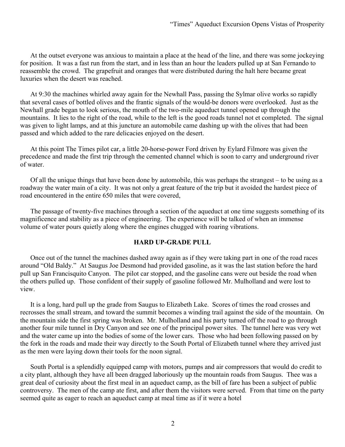At the outset everyone was anxious to maintain a place at the head of the line, and there was some jockeying for position. It was a fast run from the start, and in less than an hour the leaders pulled up at San Fernando to reassemble the crowd. The grapefruit and oranges that were distributed during the halt here became great luxuries when the desert was reached.

At 9:30 the machines whirled away again for the Newhall Pass, passing the Sylmar olive works so rapidly that several cases of bottled olives and the frantic signals of the would-be donors were overlooked. Just as the Newhall grade began to look serious, the mouth of the two-mile aqueduct tunnel opened up through the mountains. It lies to the right of the road, while to the left is the good roads tunnel not et completed. The signal was given to light lamps, and at this juncture an automobile came dashing up with the olives that had been passed and which added to the rare delicacies enjoyed on the desert.

At this point The Times pilot car, a little 20-horse-power Ford driven by Eylard Filmore was given the precedence and made the first trip through the cemented channel which is soon to carry and underground river of water.

Of all the unique things that have been done by automobile, this was perhaps the strangest – to be using as a roadway the water main of a city. It was not only a great feature of the trip but it avoided the hardest piece of road encountered in the entire 650 miles that were covered,

The passage of twenty-five machines through a section of the aqueduct at one time suggests something of its magnificence and stability as a piece of engineering. The experience will be talked of when an immense volume of water pours quietly along where the engines chugged with roaring vibrations.

#### **HARD UP-GRADE PULL**

Once out of the tunnel the machines dashed away again as if they were taking part in one of the road races around "Old Baldy." At Saugus Joe Desmond had provided gasoline, as it was the last station before the hard pull up San Francisquito Canyon. The pilot car stopped, and the gasoline cans were out beside the road when the others pulled up. Those confident of their supply of gasoline followed Mr. Mulholland and were lost to view.

It is a long, hard pull up the grade from Saugus to Elizabeth Lake. Scores of times the road crosses and recrosses the small stream, and toward the summit becomes a winding trail against the side of the mountain. On the mountain side the first spring was broken. Mr. Mulholland and his party turned off the road to go through another four mile tunnel in Dry Canyon and see one of the principal power sites. The tunnel here was very wet and the water came up into the bodies of some of the lower cars. Those who had been following passed on by the fork in the roads and made their way directly to the South Portal of Elizabeth tunnel where they arrived just as the men were laying down their tools for the noon signal.

South Portal is a splendidly equipped camp with motors, pumps and air compressors that would do credit to a city plant, although they have all been dragged laboriously up the mountain roads from Saugus. Thee was a great deal of curiosity about the first meal in an aqueduct camp, as the bill of fare has been a subject of public controversy. The men of the camp ate first, and after them the visitors were served. From that time on the party seemed quite as eager to reach an aqueduct camp at meal time as if it were a hotel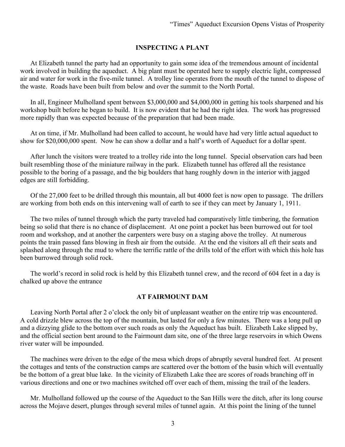## **INSPECTING A PLANT**

At Elizabeth tunnel the party had an opportunity to gain some idea of the tremendous amount of incidental work involved in building the aqueduct. A big plant must be operated here to supply electric light, compressed air and water for work in the five-mile tunnel. A trolley line operates from the mouth of the tunnel to dispose of the waste. Roads have been built from below and over the summit to the North Portal.

In all, Engineer Mulholland spent between \$3,000,000 and \$4,000,000 in getting his tools sharpened and his workshop built before he began to build. It is now evident that he had the right idea. The work has progressed more rapidly than was expected because of the preparation that had been made.

At on time, if Mr. Mulholland had been called to account, he would have had very little actual aqueduct to show for \$20,000,000 spent. Now he can show a dollar and a half's worth of Aqueduct for a dollar spent.

After lunch the visitors were treated to a trolley ride into the long tunnel. Special observation cars had been built resembling those of the miniature railway in the park. Elizabeth tunnel has offered all the resistance possible to the boring of a passage, and the big boulders that hang roughly down in the interior with jagged edges are still forbidding.

Of the 27,000 feet to be drilled through this mountain, all but 4000 feet is now open to passage. The drillers are working from both ends on this intervening wall of earth to see if they can meet by January 1, 1911.

The two miles of tunnel through which the party traveled had comparatively little timbering, the formation being so solid that there is no chance of displacement. At one point a pocket has been burrowed out for tool room and workshop, and at another the carpenters were busy on a staging above the trolley. At numerous points the train passed fans blowing in fresh air from the outside. At the end the visitors all eft their seats and splashed along through the mud to where the terrific rattle of the drills told of the effort with which this hole has been burrowed through solid rock.

The world's record in solid rock is held by this Elizabeth tunnel crew, and the record of 604 feet in a day is chalked up above the entrance

#### **AT FAIRMOUNT DAM**

Leaving North Portal after 2 o'clock the only bit of unpleasant weather on the entire trip was encountered. A cold drizzle blew across the top of the mountain, but lasted for only a few minutes. There was a long pull up and a dizzying glide to the bottom over such roads as only the Aqueduct has built. Elizabeth Lake slipped by, and the official section bent around to the Fairmount dam site, one of the three large reservoirs in which Owens river water will be impounded.

The machines were driven to the edge of the mesa which drops of abruptly several hundred feet. At present the cottages and tents of the construction camps are scattered over the bottom of the basin which will eventually be the bottom of a great blue lake. In the vicinity of Elizabeth Lake thee are scores of roads branching off in various directions and one or two machines switched off over each of them, missing the trail of the leaders.

Mr. Mulholland followed up the course of the Aqueduct to the San Hills were the ditch, after its long course across the Mojave desert, plunges through several miles of tunnel again. At this point the lining of the tunnel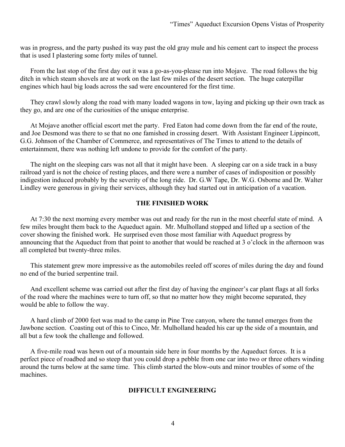was in progress, and the party pushed its way past the old gray mule and his cement cart to inspect the process that is used I plastering some forty miles of tunnel.

From the last stop of the first day out it was a go-as-you-please run into Mojave. The road follows the big ditch in which steam shovels are at work on the last few miles of the desert section. The huge caterpillar engines which haul big loads across the sad were encountered for the first time.

They crawl slowly along the road with many loaded wagons in tow, laying and picking up their own track as they go, and are one of the curiosities of the unique enterprise.

At Mojave another official escort met the party. Fred Eaton had come down from the far end of the route, and Joe Desmond was there to se that no one famished in crossing desert. With Assistant Engineer Lippincott, G.G. Johnson of the Chamber of Commerce, and representatives of The Times to attend to the details of entertainment, there was nothing left undone to provide for the comfort of the party.

The night on the sleeping cars was not all that it might have been. A sleeping car on a side track in a busy railroad yard is not the choice of resting places, and there were a number of cases of indisposition or possibly indigestion induced probably by the severity of the long ride. Dr. G.W Tape, Dr. W.G. Osborne and Dr. Walter Lindley were generous in giving their services, although they had started out in anticipation of a vacation.

### **THE FINISHED WORK**

At 7:30 the next morning every member was out and ready for the run in the most cheerful state of mind. A few miles brought them back to the Aqueduct again. Mr. Mulholland stopped and lifted up a section of the cover showing the finished work. He surprised even those most familiar with Aqueduct progress by announcing that the Aqueduct from that point to another that would be reached at 3 o'clock in the afternoon was all completed but twenty-three miles.

This statement grew more impressive as the automobiles reeled off scores of miles during the day and found no end of the buried serpentine trail.

And excellent scheme was carried out after the first day of having the engineer's car plant flags at all forks of the road where the machines were to turn off, so that no matter how they might become separated, they would be able to follow the way.

A hard climb of 2000 feet was mad to the camp in Pine Tree canyon, where the tunnel emerges from the Jawbone section. Coasting out of this to Cinco, Mr. Mulholland headed his car up the side of a mountain, and all but a few took the challenge and followed.

A five-mile road was hewn out of a mountain side here in four months by the Aqueduct forces. It is a perfect piece of roadbed and so steep that you could drop a pebble from one car into two or three others winding around the turns below at the same time. This climb started the blow-outs and minor troubles of some of the machines.

#### **DIFFICULT ENGINEERING**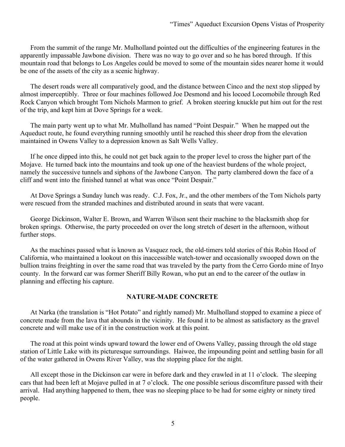From the summit of the range Mr. Mulholland pointed out the difficulties of the engineering features in the apparently impassable Jawbone division. There was no way to go over and so he has bored through. If this mountain road that belongs to Los Angeles could be moved to some of the mountain sides nearer home it would be one of the assets of the city as a scenic highway.

The desert roads were all comparatively good, and the distance between Cinco and the next stop slipped by almost imperceptibly. Three or four machines followed Joe Desmond and his locoed Locomobile through Red Rock Canyon which brought Tom Nichols Marmon to grief. A broken steering knuckle put him out for the rest of the trip, and kept him at Dove Springs for a week.

The main party went up to what Mr. Mulholland has named "Point Despair." When he mapped out the Aqueduct route, he found everything running smoothly until he reached this sheer drop from the elevation maintained in Owens Valley to a depression known as Salt Wells Valley.

If he once dipped into this, he could not get back again to the proper level to cross the higher part of the Mojave. He turned back into the mountains and took up one of the heaviest burdens of the whole project, namely the successive tunnels and siphons of the Jawbone Canyon. The party clambered down the face of a cliff and went into the finished tunnel at what was once "Point Despair."

At Dove Springs a Sunday lunch was ready. C.J. Fox, Jr., and the other members of the Tom Nichols party were rescued from the stranded machines and distributed around in seats that were vacant.

George Dickinson, Walter E. Brown, and Warren Wilson sent their machine to the blacksmith shop for broken springs. Otherwise, the party proceeded on over the long stretch of desert in the afternoon, without further stops.

As the machines passed what is known as Vasquez rock, the old-timers told stories of this Robin Hood of California, who maintained a lookout on this inaccessible watch-tower and occasionally swooped down on the bullion trains freighting in over the same road that was traveled by the party from the Cerro Gordo mine of Inyo county. In the forward car was former Sheriff Billy Rowan, who put an end to the career of the outlaw in planning and effecting his capture.

## **NATURE-MADE CONCRETE**

At Narka (the translation is "Hot Potato" and rightly named) Mr. Mulholland stopped to examine a piece of concrete made from the lava that abounds in the vicinity. He found it to be almost as satisfactory as the gravel concrete and will make use of it in the construction work at this point.

The road at this point winds upward toward the lower end of Owens Valley, passing through the old stage station of Little Lake with its picturesque surroundings. Haiwee, the impounding point and settling basin for all of the water gathered in Owens River Valley, was the stopping place for the night.

All except those in the Dickinson car were in before dark and they crawled in at 11 o'clock. The sleeping cars that had been left at Mojave pulled in at 7 o'clock. The one possible serious discomfiture passed with their arrival. Had anything happened to them, thee was no sleeping place to be had for some eighty or ninety tired people.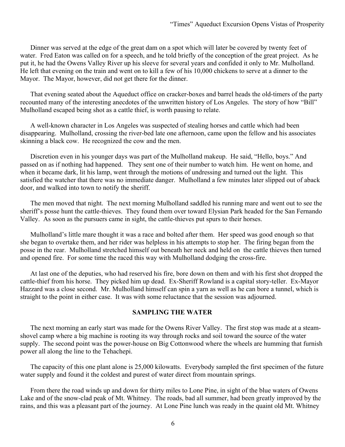Dinner was served at the edge of the great dam on a spot which will later be covered by twenty feet of water. Fred Eaton was called on for a speech, and he told briefly of the conception of the great project. As he put it, he had the Owens Valley River up his sleeve for several years and confided it only to Mr. Mulholland. He left that evening on the train and went on to kill a few of his 10,000 chickens to serve at a dinner to the Mayor. The Mayor, however, did not get there for the dinner.

That evening seated about the Aqueduct office on cracker-boxes and barrel heads the old-timers of the party recounted many of the interesting anecdotes of the unwritten history of Los Angeles. The story of how "Bill" Mulholland escaped being shot as a cattle thief, is worth pausing to relate.

A well-known character in Los Angeles was suspected of stealing horses and cattle which had been disappearing. Mulholland, crossing the river-bed late one afternoon, came upon the fellow and his associates skinning a black cow. He recognized the cow and the men.

Discretion even in his younger days was part of the Mulholland makeup. He said, "Hello, boys." And passed on as if nothing had happened. They sent one of their number to watch him. He went on home, and when it became dark, lit his lamp, went through the motions of undressing and turned out the light. This satisfied the watcher that there was no immediate danger. Mulholland a few minutes later slipped out of aback door, and walked into town to notify the sheriff.

The men moved that night. The next morning Mulholland saddled his running mare and went out to see the sheriff's posse hunt the cattle-thieves. They found them over toward Elysian Park headed for the San Fernando Valley. As soon as the pursuers came in sight, the cattle-thieves put spurs to their horses.

Mulholland's little mare thought it was a race and bolted after them. Her speed was good enough so that she began to overtake them, and her rider was helpless in his attempts to stop her. The firing began from the posse in the rear. Mulholland stretched himself out beneath her neck and held on the cattle thieves then turned and opened fire. For some time the raced this way with Mulholland dodging the cross-fire.

At last one of the deputies, who had reserved his fire, bore down on them and with his first shot dropped the cattle-thief from his horse. They picked him up dead. Ex-Sheriff Rowland is a capital story-teller. Ex-Mayor Hazzard was a close second. Mr. Mulholland himself can spin a yarn as well as he can bore a tunnel, which is straight to the point in either case. It was with some reluctance that the session was adjourned.

#### **SAMPLING THE WATER**

The next morning an early start was made for the Owens River Valley. The first stop was made at a steamshovel camp where a big machine is rooting its way through rocks and soil toward the source of the water supply. The second point was the power-house on Big Cottonwood where the wheels are humming that furnish power all along the line to the Tehachepi.

The capacity of this one plant alone is 25,000 kilowatts. Everybody sampled the first specimen of the future water supply and found it the coldest and purest of water direct from mountain springs.

From there the road winds up and down for thirty miles to Lone Pine, in sight of the blue waters of Owens Lake and of the snow-clad peak of Mt. Whitney. The roads, bad all summer, had been greatly improved by the rains, and this was a pleasant part of the journey. At Lone Pine lunch was ready in the quaint old Mt. Whitney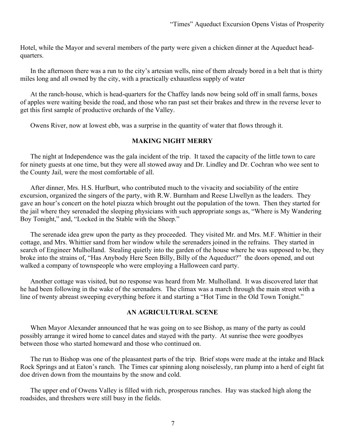Hotel, while the Mayor and several members of the party were given a chicken dinner at the Aqueduct headquarters.

In the afternoon there was a run to the city's artesian wells, nine of them already bored in a belt that is thirty miles long and all owned by the city, with a practically exhaustless supply of water

At the ranch-house, which is head-quarters for the Chaffey lands now being sold off in small farms, boxes of apples were waiting beside the road, and those who ran past set their brakes and threw in the reverse lever to get this first sample of productive orchards of the Valley.

Owens River, now at lowest ebb, was a surprise in the quantity of water that flows through it.

### **MAKING NIGHT MERRY**

The night at Independence was the gala incident of the trip. It taxed the capacity of the little town to care for ninety guests at one time, but they were all stowed away and Dr. Lindley and Dr. Cochran who wee sent to the County Jail, were the most comfortable of all.

After dinner, Mrs. H.S. Hurlburt, who contributed much to the vivacity and sociability of the entire excursion, organized the singers of the party, with R.W. Burnham and Reese Llwellyn as the leaders. They gave an hour's concert on the hotel piazza which brought out the population of the town. Then they started for the jail where they serenaded the sleeping physicians with such appropriate songs as, "Where is My Wandering Boy Tonight," and, "Locked in the Stable with the Sheep."

The serenade idea grew upon the party as they proceeded. They visited Mr. and Mrs. M.F. Whittier in their cottage, and Mrs. Whittier sand from her window while the serenaders joined in the refrains. They started in search of Engineer Mulholland. Stealing quietly into the garden of the house where he was supposed to be, they broke into the strains of, "Has Anybody Here Seen Billy, Billy of the Aqueduct?" the doors opened, and out walked a company of townspeople who were employing a Halloween card party.

Another cottage was visited, but no response was heard from Mr. Mulholland. It was discovered later that he had been following in the wake of the serenaders. The climax was a march through the main street with a line of twenty abreast sweeping everything before it and starting a "Hot Time in the Old Town Tonight."

#### **AN AGRICULTURAL SCENE**

When Mayor Alexander announced that he was going on to see Bishop, as many of the party as could possibly arrange it wired home to cancel dates and stayed with the party. At sunrise thee were goodbyes between those who started homeward and those who continued on.

The run to Bishop was one of the pleasantest parts of the trip. Brief stops were made at the intake and Black Rock Springs and at Eaton's ranch. The Times car spinning along noiselessly, ran plump into a herd of eight fat doe driven down from the mountains by the snow and cold.

The upper end of Owens Valley is filled with rich, prosperous ranches. Hay was stacked high along the roadsides, and threshers were still busy in the fields.